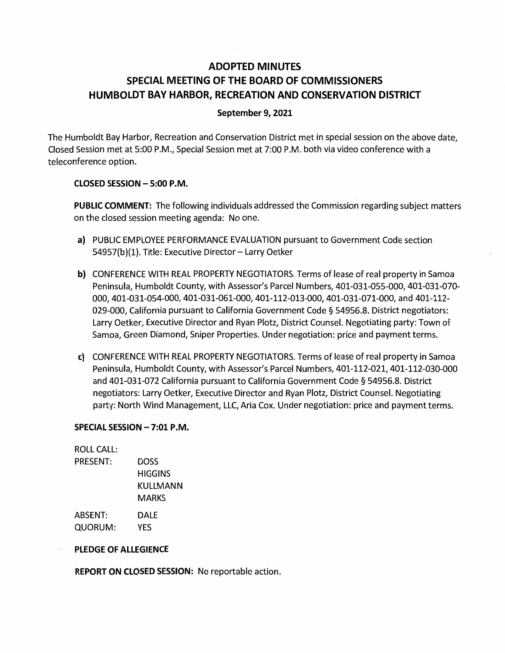# **ADOPTED MINUTES SPECIAL MEETING OF THE BOARD OF COMMISSIONERS HUMBOLDT BAY HARBOR, RECREATION AND CONSERVATION DISTRICT**

#### **September 9, 2021**

The Humboldt Bay Harbor, Recreation and Conservation District met in special session on the above date, Closed Session met at 5:00 P.M., Special Session met at 7:00 P.M. both via video conference with a teleconference option.

#### **CLOSED SESSION - 5:00 P.M.**

**PUBLIC COMMENT:** The following individuals addressed the Commission regarding subject matters on the closed session meeting agenda: No one.

- a) PUBLIC EMPLOYEE PERFORMANCE EVALUATION pursuant to Government Code section 54957(b)(1). Title: Executive Director - Larry Oetker
- **b)** CONFERENCE WITH REAL PROPERTY NEGOTIATORS. Terms of lease of real property in Samoa Peninsula, Humboldt County, with Assessor's Parcel Numbers, 401-031-055-000, 401-031-070- 000, 401-031-054-000, 401-031-061-000, 401-112-013-000, 401-031-071-000, and 401-112- 029-000, California pursuant to California Government Code § 54956.8. District negotiators: Larry Oetker, Executive Director and Ryan Plotz, District Counsel. Negotiating party: Town of Samoa, Green Diamond, Sniper Properties. Under negotiation: price and payment terms.
- c) CONFERENCE WITH REAL PROPERTY NEGOTIATORS. Terms of lease of real property in Samoa Peninsula, Humboldt County, with Assessor's Parcel Numbers, 401-112-021, 401-112-030-000 and 401-031-072 California pursuant to California Government Code § 54956.8. District negotiators: Larry Oetker, Executive Director and Ryan Plotz, District Counsel. Negotiating party: North Wind Management, LLC, Aria Cox. Under negotiation: price and payment terms.

#### **SPECIAL SESSION - 7:01 P.M.**

ROLL CALL: PRESENT: DOSS **HIGGINS** KULLMANN MARKS ABSENT: DALE QUORUM: YES

#### **PLEDGE OF ALLEGIENCE**

**REPORT ON CLOSED SESSION:** No reportable action.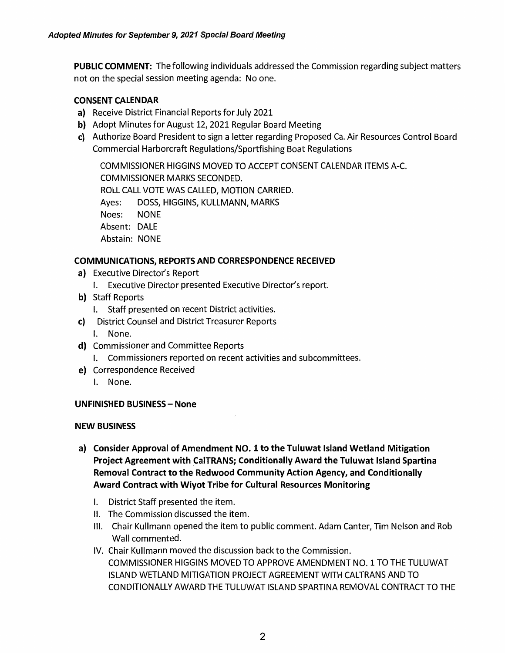**PUBLIC COMMENT:** The following individuals addressed the Commission regarding subject matters not on the special session meeting agenda: No one.

### **CONSENT CALENDAR**

- **a)** Receive District Financial Reports for July 2021
- **b)** Adopt Minutes for August 12, 2021 Regular Board Meeting
- c) Authorize Board President to sign a letter regarding Proposed Ca. Air Resources Control Board Commercial Harborcraft Regulations/Sportfishing Boat Regulations

COMMISSIONER HIGGINS MOVED TO ACCEPT CONSENT CALENDAR ITEMS A-C. COMMISSIONER MARKS SECONDED. ROLL CALL VOTE WAS CALLED, MOTION CARRIED. Ayes: DOSS, HIGGINS, KULLMANN, MARKS Noes: NONE Absent: DALE Abstain: NONE

### **COMMUNICATIONS, REPORTS AND CORRESPONDENCE RECEIVED**

- **a)** Executive Director's Report
	- I. Executive Director presented Executive Director's report.
- **b)** Staff Reports
	- I. Staff presented on recent District activities.
- c) District Counsel and District Treasurer Reports
	- I. None.
- **d)** Commissioner and Committee Reports
	- I. Commissioners reported on recent activities and subcommittees.
- **e)** Correspondence Received
	- I. None.

# **UNFINISHED BUSINESS** - **None**

### **NEW BUSINESS**

- **a) Consider Approval of Amendment NO. 1 to the Tuluwat Island Wetland Mitigation Project Agreement with CalTRANS; Conditionally Award the Tuluwat Island Spartina Removal Contract to the Redwood Community Action Agency, and Conditionally Award Contract with Wiyot Tribe for Cultural Resources Monitoring** 
	- I. District Staff presented the item.
	- II. The Commission discussed the item.
	- Ill. Chair Kullmann opened the item to public comment. Adam Canter, Tim Nelson and Rob Wall commented.
	- IV. Chair Kullmann moved the discussion back to the Commission. COMMISSIONER HIGGINS MOVED TO APPROVE AMENDMENT NO. 1 TO THE TULUWAT ISLAND WETLAND MITIGATION PROJECT AGREEMENT WITH CALTRANS AND TO CONDITIONALLY AWARD THE TULUWAT ISLAND SPARTINA REMOVAL CONTRACT TO THE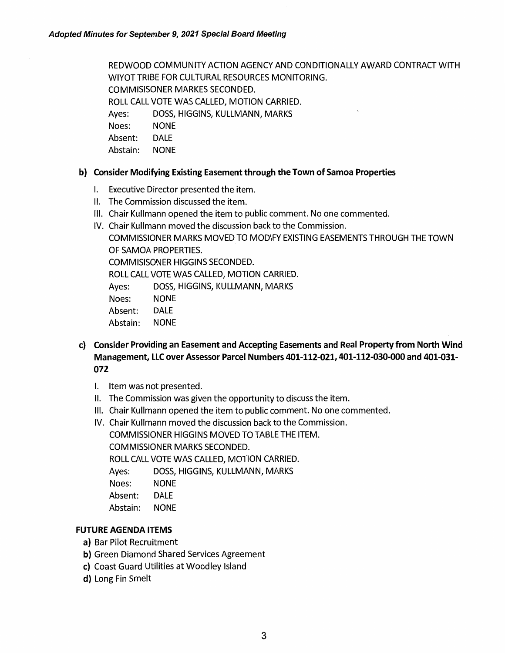REDWOOD COMMUNITY ACTION AGENCY AND CONDITIONALLY AWARD CONTRACT WITH WIYOTTRIBE FOR CULTURAL RESOURCES MONITORING. COMMISISONER MARKES SECONDED.

ROLL CALL VOTE WAS CALLED, MOTION CARRIED.

Ayes: DOSS, HIGGINS, KULLMANN, MARKS

Noes: NONE

Absent: DALE

Abstain: NONE

### **b) Consider Modifying Existing Easement through the Town of Samoa Properties**

- I. Executive Director presented the item.
- II. The Commission discussed the item.
- Ill. Chair Kullmann opened the item to public comment. No one commented.
- IV. Chair Kullmann moved the discussion back to the Commission.

COMMISSIONER MARKS MOVED TO MODIFY EXISTING EASEMENTS THROUGH THE TOWN OF SAMOA PROPERTIES.

COMMISISONER HIGGINS SECONDED.

ROLL CALL VOTE WAS CALLED, MOTION CARRIED.

Ayes: DOSS, HIGGINS, KULLMANN, MARKS

Noes: NONE

Absent: DALE

Abstain: NONE

- **c) Consider Providing an Easement and Accepting Easements and Real Property from North Wind Management, LLC over Assessor Parcel Numbers 401-112-021, 401-112-030-000 and 401-031- 072** 
	- I. Item was not presented.
	- II. The Commission was given the opportunity to discuss the item.
	- Ill. Chair Kullmann opened the item to public comment. No one commented.
	- IV. Chair Kullmann moved the discussion back to the Commission.

COMMISSIONER HIGGINS MOVED TO TABLE THE ITEM.

COMMISSIONER MARKS SECONDED.

ROLL CALL VOTE WAS CALLED, MOTION CARRIED.

Ayes: DOSS, HIGGINS, KULLMANN, MARKS

Noes: NONE

- Absent: DALE
- Abstain: NONE

# **FUTURE AGENDA ITEMS**

- a) Bar Pilot Recruitment
- **b)** Green Diamond Shared Services Agreement
- **c)** Coast Guard Utilities at Woodley Island
- **d)** Long Fin Smelt